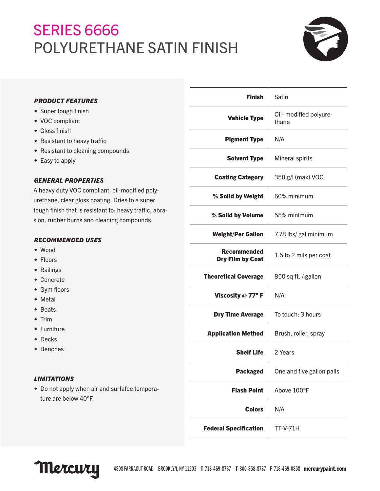# SERIES 6666 POLYURETHANE SATIN FINISH



| PRODUCT FEATURES       |
|------------------------|
| • Super tough finish   |
| • VOC compliant        |
| $\bullet$ Gloss finish |
|                        |

- Resistant to heavy traffic
- Resistant to cleaning compounds
- Easy to apply

# *GENERAL PROPERTIES*

A heavy duty VOC compliant, oil-modified polyurethane, clear gloss coating. Dries to a super tough finish that is resistant to: heavy traffic, abrasion, rubber burns and cleaning compounds.

# *RECOMMENDED USES*

- Wood
- Floors
- Railings
- Concrete
- Gym floors
- Metal
- Boats
- Trim
- Furniture
- Decks
- Benches

# *LIMITATIONS*

• Do not apply when air and surfafce temperature are below 40°F.

| <b>Finish</b>                                 | Satin                           |
|-----------------------------------------------|---------------------------------|
| <b>Vehicle Type</b>                           | Oil- modified polyure-<br>thane |
| <b>Pigment Type</b>                           | N/A                             |
| <b>Solvent Type</b>                           | Mineral spirits                 |
| <b>Coating Category</b>                       | 350 g/l (max) VOC               |
| % Solid by Weight                             | 60% minimum                     |
| % Solid by Volume                             | 55% minimum                     |
| <b>Weight/Per Gallon</b>                      | 7.78 lbs/ gal minimum           |
| <b>Recommended</b><br><b>Dry Film by Coat</b> | 1.5 to 2 mils per coat          |
| <b>Theoretical Coverage</b>                   | 850 sq ft. / gallon             |
| Viscosity $@$ 77° F                           | N/A                             |
| <b>Dry Time Average</b>                       | To touch: 3 hours               |
| <b>Application Method</b>                     | Brush, roller, spray            |
| <b>Shelf Life</b>                             | 2 Years                         |
| <b>Packaged</b>                               | One and five gallon pails       |
| <b>Flash Point</b>                            | Above 100°F                     |
| Colors                                        | N/A                             |
| <b>Federal Specification</b>                  | <b>TT-V-71H</b>                 |